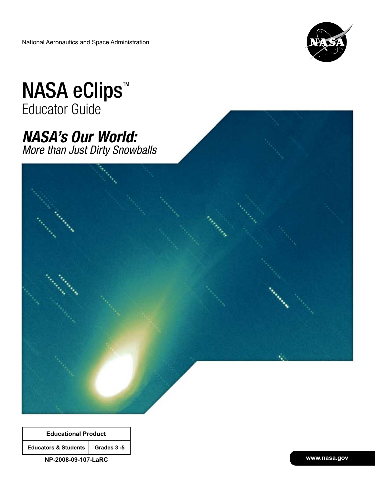National Aeronautics and Space Administration



# NASA eClips<sup>™</sup> Educator Guide

# *NASA's Our World: More than Just Dirty Snowballs*



| <b>Educational Product</b>         |  |  |
|------------------------------------|--|--|
| Educators & Students   Grades 3 -5 |  |  |
|                                    |  |  |

**NP-2008-09-107-LaRC**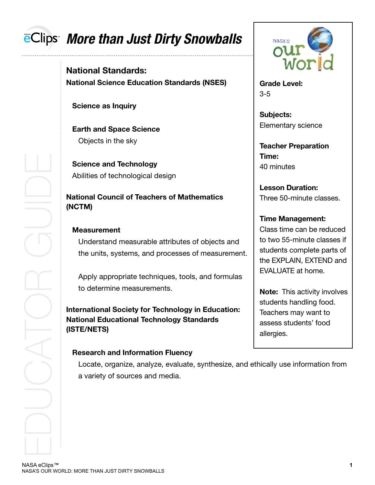# **EClips** More than Just Dirty Snowballs

**National Standards: National Science Education Standards (NSES)**

 **Science as Inquiry**

**Earth and Space Science** Objects in the sky

**Science and Technology** Abilities of technological design

**National Council of Teachers of Mathematics (NCTM)**

#### **Measurement**

Understand measurable attributes of objects and the units, systems, and processes of measurement.

Apply appropriate techniques, tools, and formulas to determine measurements.

**International Society for Technology in Education: National Educational Technology Standards (ISTE/NETS)**

#### **Research and Information Fluency**

Locate, organize, analyze, evaluate, synthesize, and ethically use information from a variety of sources and media.



**Grade Level:** 3-5

**Subjects:** Elementary science

**Teacher Preparation Time:** 40 minutes

**Lesson Duration:** Three 50-minute classes.

## **Time Management:**

Class time can be reduced to two 55-minute classes if students complete parts of the EXPLAIN, EXTEND and EVALUATE at home.

**Note:** This activity involves students handling food. Teachers may want to assess students' food allergies.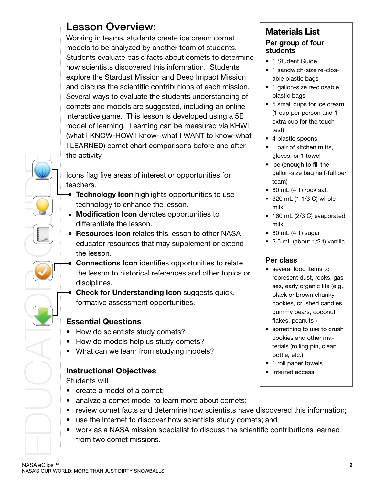## Lesson Overview:

Working in teams, students create ice cream comet models to be analyzed by another team of students. Students evaluate basic facts about comets to determine how scientists discovered this information. Students explore the Stardust Mission and Deep Impact Mission and discuss the scientific contributions of each mission. Several ways to evaluate the students understanding of comets and models are suggested, including an online interactive game. This lesson is developed using a 5E model of learning. Learning can be measured via KHWL (what I KNOW-HOW I know- what I WANT to know-what I LEARNED) comet chart comparisons before and after the activity.

Icons flag five areas of interest or opportunities for teachers.

- **Technology Icon** highlights opportunities to use technology to enhance the lesson.
- **Modification Icon** denotes opportunities to differentiate the lesson.
- **Resources Icon** relates this lesson to other NASA educator resources that may supplement or extend the lesson.
- The activity.<br>
Loons flag five areas of interest<br>
technology too nhighlights<br>
technology too nhance the<br> **Modification Icon** denotes<br>
differentiate the lesson.<br> **Resources that may**<br>
ducator resources that may<br>
the lesson **Connections Icon** identifies opportunities to relate the lesson to historical references and other topics or disciplines.
	- **Check for Understanding Icon** suggests quick, formative assessment opportunities.

## **Essential Questions**

- How do scientists study comets?
- How do models help us study comets?
- What can we learn from studying models?

## **Instructional Objectives**

Students will

- create a model of a comet;
- analyze a comet model to learn more about comets;
- review comet facts and determine how scientists have discovered this information;
- use the Internet to discover how scientists study comets; and
- work as a NASA mission specialist to discuss the scientific contributions learned from two comet missions.

### **Materials List Per group of four students**

- 1 Student Guide
- 1 sandwich-size re-closable plastic bags
- 1 gallon-size re-closable plastic bags
- 5 small cups for ice cream (1 cup per person and 1 extra cup for the touch test)
- 4 plastic spoons
- 1 pair of kitchen mitts, gloves, or 1 towel
- ice (enough to fill the gallon-size bag half-full per team)
- $\bullet$  60 mL (4 T) rock salt
- $\bullet$  320 mL (1 1/3 C) whole milk
- 160 mL (2/3 C) evaporated milk
- $\bullet$  60 mL (4 T) sugar
- 2.5 mL (about  $1/2$  t) vanilla

## **Per class**

- several food items to represent dust, rocks, gasses, early organic life (e.g., black or brown chunky cookies, crushed candies, gummy bears, coconut flakes, peanuts )
- something to use to crush cookies and other materials (rolling pin, clean bottle, etc.)
- 1 roll paper towels
- Internet access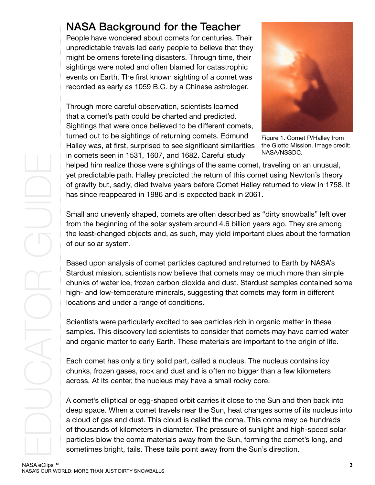## NASA Background for the Teacher

People have wondered about comets for centuries. Their unpredictable travels led early people to believe that they might be omens foretelling disasters. Through time, their sightings were noted and often blamed for catastrophic events on Earth. The first known sighting of a comet was recorded as early as 1059 B.C. by a Chinese astrologer.

Through more careful observation, scientists learned that a comet's path could be charted and predicted. Sightings that were once believed to be different comets, turned out to be sightings of returning comets. Edmund Halley was, at first, surprised to see significant similarities in comets seen in 1531, 1607, and 1682. Careful study



Figure 1. Comet P/Halley from the Giotto Mission. Image credit: NASA/NSSDC.

helped him realize those were sightings of the same comet, traveling on an unusual, yet predictable path. Halley predicted the return of this comet using Newton's theory of gravity but, sadly, died twelve years before Comet Halley returned to view in 1758. It has since reappeared in 1986 and is expected back in 2061.

Small and unevenly shaped, comets are often described as "dirty snowballs" left over from the beginning of the solar system around 4.6 billion years ago. They are among the least-changed objects and, as such, may yield important clues about the formation of our solar system.

Based upon analysis of comet particles captured and returned to Earth by NASA's Stardust mission, scientists now believe that comets may be much more than simple chunks of water ice, frozen carbon dioxide and dust. Stardust samples contained some high- and low-temperature minerals, suggesting that comets may form in different locations and under a range of conditions.

Scientists were particularly excited to see particles rich in organic matter in these samples. This discovery led scientists to consider that comets may have carried water and organic matter to early Earth. These materials are important to the origin of life.

Each comet has only a tiny solid part, called a nucleus. The nucleus contains icy chunks, frozen gases, rock and dust and is often no bigger than a few kilometers across. At its center, the nucleus may have a small rocky core.

A comet's elliptical or egg-shaped orbit carries it close to the Sun and then back into deep space. When a comet travels near the Sun, heat changes some of its nucleus into a cloud of gas and dust. This cloud is called the coma. This coma may be hundreds of thousands of kilometers in diameter. The pressure of sunlight and high-speed solar particles blow the coma materials away from the Sun, forming the comet's long, and sometimes bright, tails. These tails point away from the Sun's direction.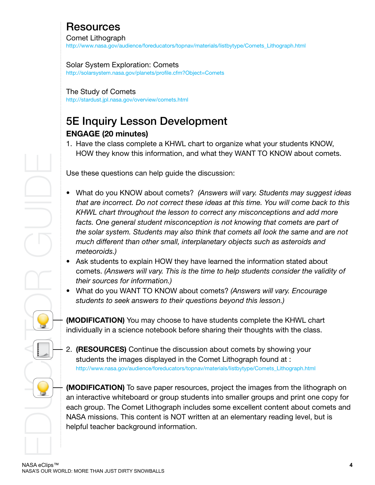# Resources

Comet Lithograph

[http://www.nasa.gov/audience/foreducators/topnav/materials/listbytype/Comets\\_Lithograph.html](http://www.nasa.gov/audience/foreducators/topnav/materials/listbytype/Comets_Lithograph.html)

#### Solar System Exploration: Comets

<http://solarsystem.nasa.gov/planets/profile.cfm?Object=Comets>

#### The Study of Comets

<http://stardust.jpl.nasa.gov/overview/comets.html>

## 5E Inquiry Lesson Development **ENGAGE (20 minutes)**

1. Have the class complete a KHWL chart to organize what your students KNOW, HOW they know this information, and what they WANT TO KNOW about comets.

Use these questions can help guide the discussion:

- What do you KNOW about comets? (Answers will vary. Students may suggest ideas *that are incorrect. Do not correct these ideas at this time. You will come back to this KHWL chart throughout the lesson to correct any misconceptions and add more*  facts. One general student misconception is not knowing that comets are part of *the solar system. Students may also think that comets all look the same and are not much different than other small, interplanetary objects such as asteroids and meteoroids.)*
- Ask students to explain HOW they have learned the information stated about comets. *(Answers will vary. This is the time to help students consider the validity of their sources for information.)*
- What do you WANT TO KNOW about comets? (Answers will vary. Encourage *students to seek answers to their questions beyond this lesson.)*

**(MODIFICATION)** You may choose to have students complete the KHWL chart individually in a science notebook before sharing their thoughts with the class.

2. **(RESOURCES)** Continue the discussion about comets by showing your students the images displayed in the Comet Lithograph found at : [http://www.nasa.gov/audience/foreducators/topnav/materials/listbytype/Comets\\_Lithograph.html](http://www.nasa.gov/audience/foreducators/topnav/materials/listbytype/Comets_Lithograph.html)

**(MODIFICATION)** To save paper resources, project the images from the lithograph on an interactive whiteboard or group students into smaller groups and print one copy for each group. The Comet Lithograph includes some excellent content about comets and NASA missions. This content is NOT written at an elementary reading level, but is helpful teacher background information.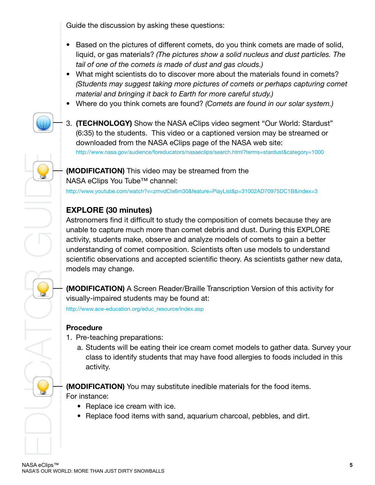Guide the discussion by asking these questions:

- Based on the pictures of different comets, do you think comets are made of solid, liquid, or gas materials? *(The pictures show a solid nucleus and dust particles. The tail of one of the comets is made of dust and gas clouds.)*
- What might scientists do to discover more about the materials found in comets? *(Students may suggest taking more pictures of comets or perhaps capturing comet material and bringing it back to Earth for more careful study.)*
- Where do you think comets are found? *(Comets are found in our solar system.)*
- 
- 3. **(TECHNOLOGY)** Show the NASA eClips video segment "Our World: Stardust" (6:35) to the students. This video or a captioned version may be streamed or downloaded from the NASA eClips page of the NASA web site: <http://www.nasa.gov/audience/foreducators/nasaeclips/search.html?terms=stardust&category=1000>

**(MODIFICATION)** This video may be streamed from the NASA eClips You Tube™ channel:

<http://www.youtube.com/watch?v=zmvdClx6m30&feature=PlayList&p=31002AD70975DC1B&index=3>

## **EXPLORE (30 minutes)**

(MODIFICATION) This video r<br>
NASA eClips You Tube<sup>™</sup> char<br>
http://www.youtube.com/watch?v=zmv<br> **EXPLORE (30 minutes)**<br>
Astronomers find it difficult to<br>
unable to capture much more<br>
activity, students make, obser<br>
underst Astronomers find it difficult to study the composition of comets because they are unable to capture much more than comet debris and dust. During this EXPLORE activity, students make, observe and analyze models of comets to gain a better understanding of comet composition. Scientists often use models to understand scientific observations and accepted scientific theory. As scientists gather new data, models may change.

**(MODIFICATION)** A Screen Reader/Braille Transcription Version of this activity for visually-impaired students may be found at:

[http://www.ace-education.org/educ\\_resource/index.asp](http://www.ace-education.org/educ_resource/index.asp)

## **Procedure**

- 1. Pre-teaching preparations:
	- a. Students will be eating their ice cream comet models to gather data. Survey your class to identify students that may have food allergies to foods included in this activity.

**(MODIFICATION)** You may substitute inedible materials for the food items. For instance:

- Replace ice cream with ice.
- Replace food items with sand, aquarium charcoal, pebbles, and dirt.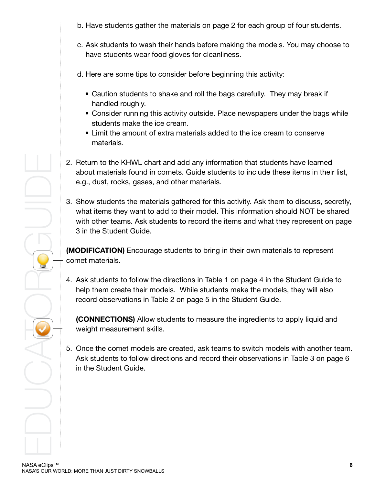- b. Have students gather the materials on page 2 for each group of four students.
- c. Ask students to wash their hands before making the models. You may choose to have students wear food gloves for cleanliness.

d. Here are some tips to consider before beginning this activity:

- Caution students to shake and roll the bags carefully. They may break if handled roughly.
- Consider running this activity outside. Place newspapers under the bags while students make the ice cream.
- Limit the amount of extra materials added to the ice cream to conserve materials.
- 2. Return to the KHWL chart and add any information that students have learned about materials found in comets. Guide students to include these items in their list, e.g., dust, rocks, gases, and other materials.
- 2. Return to the KHWL chart<br>about materials found in cc<br>e.g., dust, rocks, gases, an<br>3. Show students the material<br>what items they want to ad<br>with other teams. Ask stude<br>3 in the Student Guide.<br>**(MODIFICATION)** Encourage<br>c 3. Show students the materials gathered for this activity. Ask them to discuss, secretly, what items they want to add to their model. This information should NOT be shared with other teams. Ask students to record the items and what they represent on page 3 in the Student Guide.

**(MODIFICATION)** Encourage students to bring in their own materials to represent comet materials.

4. Ask students to follow the directions in Table 1 on page 4 in the Student Guide to help them create their models. While students make the models, they will also record observations in Table 2 on page 5 in the Student Guide.

 **(CONNECTIONS)** Allow students to measure the ingredients to apply liquid and weight measurement skills.

5. Once the comet models are created, ask teams to switch models with another team. Ask students to follow directions and record their observations in Table 3 on page 6 in the Student Guide.

NASA eClips™<br>NASA'S OUR WORLD: MORE THAN JUST DIRTY SNOWBALLS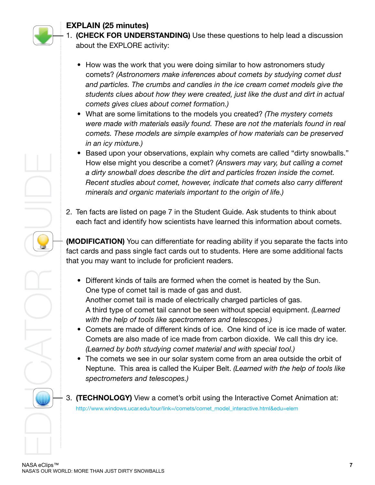

## **EXPLAIN (25 minutes)**

- 1. **(CHECK FOR UNDERSTANDING)** Use these questions to help lead a discussion about the EXPLORE activity:
	- How was the work that you were doing similar to how astronomers study comets? *(Astronomers make inferences about comets by studying comet dust and particles. The crumbs and candies in the ice cream comet models give the students clues about how they were created, just like the dust and dirt in actual comets gives clues about comet formation.)*
	- What are some limitations to the models you created? (The mystery comets *were made with materials easily found. These are not the materials found in real comets. These models are simple examples of how materials can be preserved in an icy mixture.)*
	- Based upon your observations, explain why comets are called "dirty snowballs." How else might you describe a comet? (Answers may vary, but calling a comet *a dirty snowball does describe the dirt and particles frozen inside the comet. Recent studies about comet, however, indicate that comets also carry different minerals and organic materials important to the origin of life.)*
- 2. Ten facts are listed on page 7 in the Student Guide. Ask students to think about each fact and identify how scientists have learned this information about comets.

**(MODIFICATION)** You can differentiate for reading ability if you separate the facts into fact cards and pass single fact cards out to students. Here are some additional facts that you may want to include for proficient readers.

- Nasa e clips <sup>na</sup><br>
Now else might you des<br>
a *dirty snowball does de*<br>
Recent studies about cominerals and organic main<br>
each fact and identify how<br>
(MODIFICATION) You can different cards and pass single fact<br>
that you may • Different kinds of tails are formed when the comet is heated by the Sun. One type of comet tail is made of gas and dust. Another comet tail is made of electrically charged particles of gas. A third type of comet tail cannot be seen without special equipment. *(Learned with the help of tools like spectrometers and telescopes.)*
	- Comets are made of different kinds of ice. One kind of ice is ice made of water. Comets are also made of ice made from carbon dioxide. We call this dry ice. *(Learned by both studying comet material and with special tool.)*
	- The comets we see in our solar system come from an area outside the orbit of Neptune. This area is called the Kuiper Belt. *(Learned with the help of tools like spectrometers and telescopes.)*
	- 3. **(TECHNOLOGY)** View a comet's orbit using the Interactive Comet Animation at: [http://www.windows.ucar.edu/tour/link=/comets/comet\\_model\\_interactive.html&edu=elem](http://www.windows.ucar.edu/tour/link=/comets/comet_model_interactive.html&edu=elem)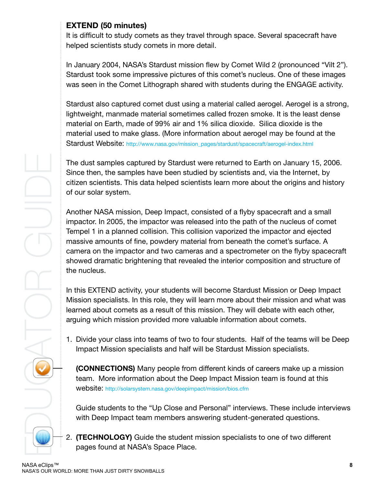## **EXTEND (50 minutes)**

It is difficult to study comets as they travel through space. Several spacecraft have helped scientists study comets in more detail.

In January 2004, NASA's Stardust mission flew by Comet Wild 2 (pronounced "Vilt 2"). Stardust took some impressive pictures of this comet's nucleus. One of these images was seen in the Comet Lithograph shared with students during the ENGAGE activity.

Stardust also captured comet dust using a material called aerogel. Aerogel is a strong, lightweight, manmade material sometimes called frozen smoke. It is the least dense material on Earth, made of 99% air and 1% silica dioxide. Silica dioxide is the material used to make glass. (More information about aerogel may be found at the Stardust Website: http://www.nasa.gov/mission\_pages/stardust/spacecraft/aerogel-index.html

The dust samples captured by Stardust were returned to Earth on January 15, 2006. Since then, the samples have been studied by scientists and, via the Internet, by citizen scientists. This data helped scientists learn more about the origins and history of our solar system.

Another NASA mission, Deep Impact, consisted of a flyby spacecraft and a small impactor. In 2005, the impactor was released into the path of the nucleus of comet Tempel 1 in a planned collision. This collision vaporized the impactor and ejected massive amounts of fine, powdery material from beneath the comet's surface. A camera on the impactor and two cameras and a spectrometer on the flyby spacecraft showed dramatic brightening that revealed the interior composition and structure of the nucleus.

In this EXTEND activity, your students will become Stardust Mission or Deep Impact Mission specialists. In this role, they will learn more about their mission and what was learned about comets as a result of this mission. They will debate with each other, arguing which mission provided more valuable information about comets.

1. Divide your class into teams of two to four students. Half of the teams will be Deep Impact Mission specialists and half will be Stardust Mission specialists.

 **(CONNECTIONS)** Many people from different kinds of careers make up a mission team. More information about the Deep Impact Mission team is found at this website: http://solarsystem.nasa.gov/deepimpact/mission/bios.cfm

Guide students to the "Up Close and Personal" interviews. These include interviews with Deep Impact team members answering student-generated questions.

2. **(TECHNOLOGY)** Guide the student mission specialists to one of two different pages found at NASA's Space Place.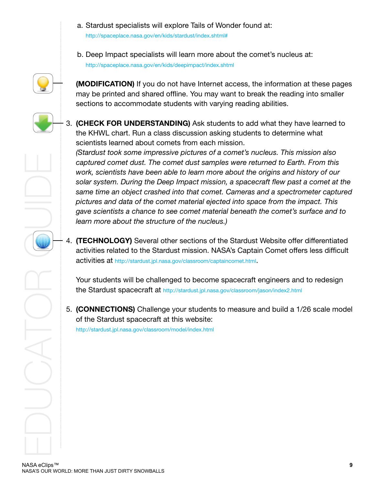- a. Stardust specialists will explore Tails of Wonder found at: <http://spaceplace.nasa.gov/en/kids/stardust/index.shtml#>
- b. Deep Impact specialists will learn more about the comet's nucleus at: <http://spaceplace.nasa.gov/en/kids/deepimpact/index.shtml>

**(MODIFICATION)** If you do not have Internet access, the information at these pages may be printed and shared offline. You may want to break the reading into smaller sections to accommodate students with varying reading abilities.



claudiation control wing the Deptembent of North, scientists have been solar system. During the Deptembent of the Standard data of the congave scientists a chance to learn more about the struct of the more about the standa *(Stardust took some impressive pictures of a comet's nucleus. This mission also captured comet dust. The comet dust samples were returned to Earth. From this work, scientists have been able to learn more about the origins and history of our solar system. During the Deep Impact mission, a spacecraft flew past a comet at the same time an object crashed into that comet. Cameras and a spectrometer captured pictures and data of the comet material ejected into space from the impact. This gave scientists a chance to see comet material beneath the comet's surface and to learn more about the structure of the nucleus.)* 

4. **(TECHNOLOGY)** Several other sections of the Stardust Website offer differentiated activities related to the Stardust mission. NASA's Captain Comet offers less difficult activities at http://stardust.jpl.nasa.gov/classroom/captaincomet.html.

 Your students will be challenged to become spacecraft engineers and to redesign the Stardust spacecraft at http://stardust.jpl.nasa.gov/classroom/jason/index2.html 

5. **(CONNECTIONS)** Challenge your students to measure and build a 1/26 scale model of the Stardust spacecraft at this website: http://stardust.jpl.nasa.gov/classroom/model/index.html

NASA eClips™<br>NASA'S OUR WORLD: MORE THAN JUST DIRTY SNOWBALLS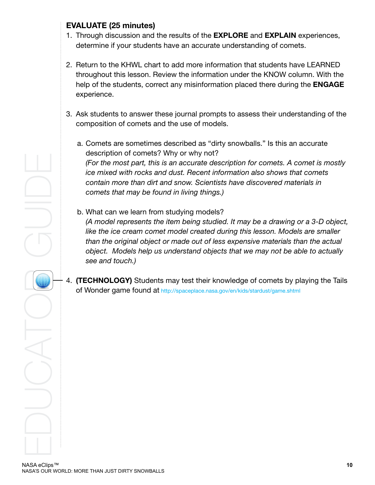### **EVALUATE (25 minutes)**

- 1. Through discussion and the results of the **EXPLORE** and **EXPLAIN** experiences, determine if your students have an accurate understanding of comets.
- 2. Return to the KHWL chart to add more information that students have LEARNED throughout this lesson. Review the information under the KNOW column. With the help of the students, correct any misinformation placed there during the **ENGAGE** experience.
- 3. Ask students to answer these journal prompts to assess their understanding of the composition of comets and the use of models.
	- a. Comets are sometimes described as "dirty snowballs." Is this an accurate description of comets? Why or why not? *(For the most part, this is an accurate description for comets. A comet is mostly ice mixed with rocks and dust. Recent information also shows that comets contain more than dirt and snow. Scientists have discovered materials in comets that may be found in living things.)*
	- b. What can we learn from studying models? *(A model represents the item being studied. It may be a drawing or a 3-D object, like the ice cream comet model created during this lesson. Models are smaller than the original object or made out of less expensive materials than the actual object. Models help us understand objects that we may not be able to actually see and touch.)*
- 4. **(TECHNOLOGY)** Students may test their knowledge of comets by playing the Tails of Wonder game found at http://spaceplace.nasa.gov/en/kids/stardust/game.shtml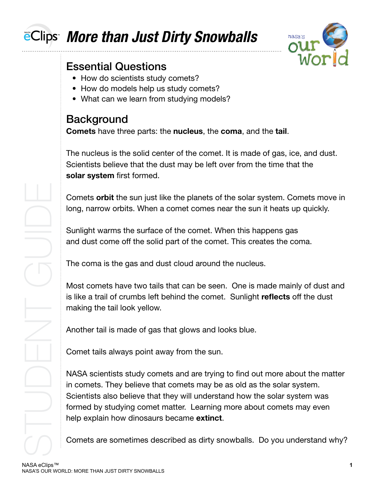# eClips *More than Just Dirty Snowballs*



# Essential Questions

- How do scientists study comets?
- How do models help us study comets?
- What can we learn from studying models?

# **Background**

**Comets** have three parts: the **nucleus**, the **coma**, and the **tail**.

The nucleus is the solid center of the comet. It is made of gas, ice, and dust. Scientists believe that the dust may be left over from the time that the **solar system** first formed.

Comets **orbit** the sun just like the planets of the solar system. Comets move in long, narrow orbits. When a comet comes near the sun it heats up quickly.

Sunlight warms the surface of the comet. When this happens gas and dust come off the solid part of the comet. This creates the coma.

The coma is the gas and dust cloud around the nucleus.

Most comets have two tails that can be seen. One is made mainly of dust and is like a trail of crumbs left behind the comet. Sunlight **reflects** off the dust making the tail look yellow.

Another tail is made of gas that glows and looks blue.

Comet tails always point away from the sun.

NASA scientists study comets and are trying to find out more about the matter in comets. They believe that comets may be as old as the solar system. Scientists also believe that they will understand how the solar system was formed by studying comet matter. Learning more about comets may even help explain how dinosaurs became **extinct**.

Comets are sometimes described as dirty snowballs. Do you understand why?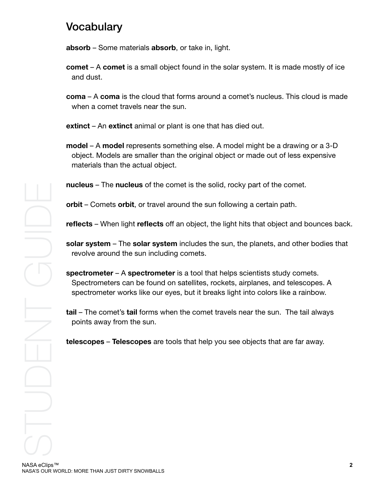## Vocabulary

**absorb** – Some materials **absorb**, or take in, light.

- **comet** A **comet** is a small object found in the solar system. It is made mostly of ice and dust.
- **coma** A **coma** is the cloud that forms around a comet's nucleus. This cloud is made when a comet travels near the sun.

**extinct** – An **extinct** animal or plant is one that has died out.

**model** – A **model** represents something else. A model might be a drawing or a 3-D object. Models are smaller than the original object or made out of less expensive materials than the actual object.

**nucleus** – The **nucleus** of the comet is the solid, rocky part of the comet.

**orbit** – Comets **orbit**, or travel around the sun following a certain path.

**reflects** – When light **reflects** off an object, the light hits that object and bounces back.

**solar system** – The **solar system** includes the sun, the planets, and other bodies that revolve around the sun including comets.

**spectrometer** – A **spectrometer** is a tool that helps scientists study comets. Spectrometers can be found on satellites, rockets, airplanes, and telescopes. A spectrometer works like our eyes, but it breaks light into colors like a rainbow.

**tail** – The comet's **tail** forms when the comet travels near the sun. The tail always points away from the sun.

**telescopes** – **Telescopes** are tools that help you see objects that are far away.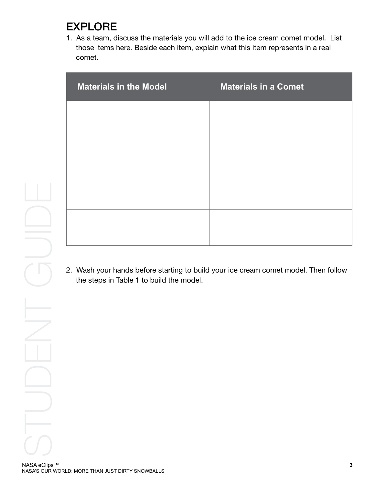# EXPLORE

1. As a team, discuss the materials you will add to the ice cream comet model. List those items here. Beside each item, explain what this item represents in a real comet.

| <b>Materials in the Model</b> | <b>Materials in a Comet</b> |
|-------------------------------|-----------------------------|
|                               |                             |
|                               |                             |
|                               |                             |
|                               |                             |
|                               |                             |

2. Wash your hands before starting to build your ice cream comet model. Then follow the steps in Table 1 to build the model.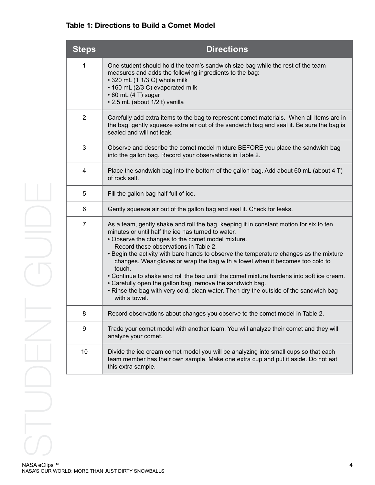#### **Table 1: Directions to Build a Comet Model**

| <b>Steps</b>   | <b>Directions</b>                                                                                                                                                                                                                                                                                                                                                                                                                                                                                                                                                                                                                                                                                   |
|----------------|-----------------------------------------------------------------------------------------------------------------------------------------------------------------------------------------------------------------------------------------------------------------------------------------------------------------------------------------------------------------------------------------------------------------------------------------------------------------------------------------------------------------------------------------------------------------------------------------------------------------------------------------------------------------------------------------------------|
| 1              | One student should hold the team's sandwich size bag while the rest of the team<br>measures and adds the following ingredients to the bag:<br>• 320 mL (1 1/3 C) whole milk<br>• 160 mL (2/3 C) evaporated milk<br>$\cdot$ 60 mL (4 T) sugar<br>• 2.5 mL (about 1/2 t) vanilla                                                                                                                                                                                                                                                                                                                                                                                                                      |
| $\overline{2}$ | Carefully add extra items to the bag to represent comet materials. When all items are in<br>the bag, gently squeeze extra air out of the sandwich bag and seal it. Be sure the bag is<br>sealed and will not leak.                                                                                                                                                                                                                                                                                                                                                                                                                                                                                  |
| 3              | Observe and describe the comet model mixture BEFORE you place the sandwich bag<br>into the gallon bag. Record your observations in Table 2.                                                                                                                                                                                                                                                                                                                                                                                                                                                                                                                                                         |
| 4              | Place the sandwich bag into the bottom of the gallon bag. Add about 60 mL (about 4 T)<br>of rock salt.                                                                                                                                                                                                                                                                                                                                                                                                                                                                                                                                                                                              |
| 5              | Fill the gallon bag half-full of ice.                                                                                                                                                                                                                                                                                                                                                                                                                                                                                                                                                                                                                                                               |
| 6              | Gently squeeze air out of the gallon bag and seal it. Check for leaks.                                                                                                                                                                                                                                                                                                                                                                                                                                                                                                                                                                                                                              |
| $\overline{7}$ | As a team, gently shake and roll the bag, keeping it in constant motion for six to ten<br>minutes or until half the ice has turned to water.<br>• Observe the changes to the comet model mixture.<br>Record these observations in Table 2.<br>. Begin the activity with bare hands to observe the temperature changes as the mixture<br>changes. Wear gloves or wrap the bag with a towel when it becomes too cold to<br>touch.<br>. Continue to shake and roll the bag until the comet mixture hardens into soft ice cream.<br>• Carefully open the gallon bag, remove the sandwich bag.<br>. Rinse the bag with very cold, clean water. Then dry the outside of the sandwich bag<br>with a towel. |
| 8              | Record observations about changes you observe to the comet model in Table 2.                                                                                                                                                                                                                                                                                                                                                                                                                                                                                                                                                                                                                        |
| 9              | Trade your comet model with another team. You will analyze their comet and they will<br>analyze your comet.                                                                                                                                                                                                                                                                                                                                                                                                                                                                                                                                                                                         |
| 10             | Divide the ice cream comet model you will be analyzing into small cups so that each<br>team member has their own sample. Make one extra cup and put it aside. Do not eat<br>this extra sample.                                                                                                                                                                                                                                                                                                                                                                                                                                                                                                      |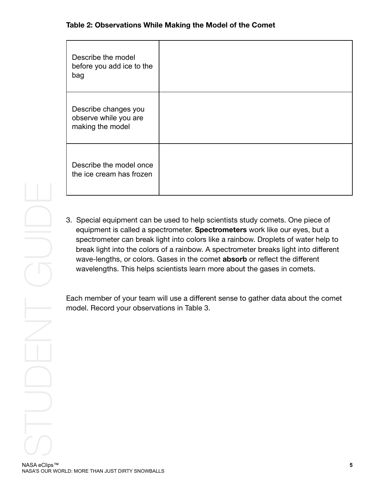#### **Table 2: Observations While Making the Model of the Comet**

| Describe the model<br>before you add ice to the<br>bag            |  |
|-------------------------------------------------------------------|--|
| Describe changes you<br>observe while you are<br>making the model |  |
| Describe the model once<br>the ice cream has frozen               |  |

3. Special equipment can be used to help scientists study comets. One piece of equipment is called a spectrometer. **Spectrometers** work like our eyes, but a spectrometer can break light into colors like a rainbow. Droplets of water help to break light into the colors of a rainbow. A spectrometer breaks light into different wave-lengths, or colors. Gases in the comet **absorb** or reflect the different wavelengths. This helps scientists learn more about the gases in comets.

Each member of your team will use a different sense to gather data about the comet model. Record your observations in Table 3.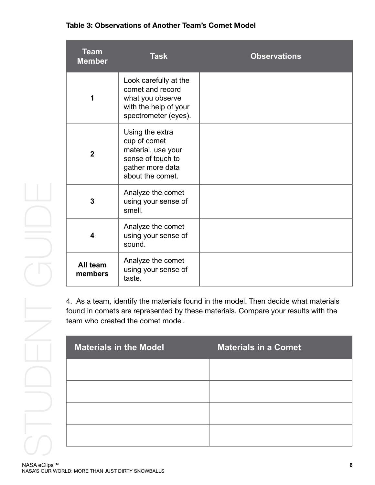#### **Table 3: Observations of Another Team's Comet Model**

| <b>Team</b><br><b>Member</b> | <b>Task</b>                                                                                                        | <b>Observations</b> |
|------------------------------|--------------------------------------------------------------------------------------------------------------------|---------------------|
| 1                            | Look carefully at the<br>comet and record<br>what you observe<br>with the help of your<br>spectrometer (eyes).     |                     |
| $\overline{2}$               | Using the extra<br>cup of comet<br>material, use your<br>sense of touch to<br>gather more data<br>about the comet. |                     |
| 3                            | Analyze the comet<br>using your sense of<br>smell.                                                                 |                     |
| 4                            | Analyze the comet<br>using your sense of<br>sound.                                                                 |                     |
| All team<br>members          | Analyze the comet<br>using your sense of<br>taste.                                                                 |                     |

4. As a team, identify the materials found in the model. Then decide what materials found in comets are represented by these materials. Compare your results with the team who created the comet model.

| <b>Materials in the Model</b> | <b>Materials in a Comet</b> |
|-------------------------------|-----------------------------|
|                               |                             |
|                               |                             |
|                               |                             |
|                               |                             |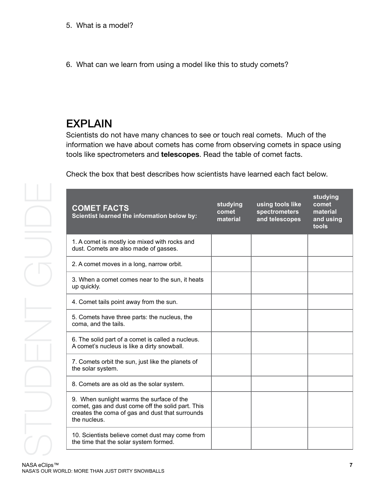6. What can we learn from using a model like this to study comets?

# EXPLAIN

Scientists do not have many chances to see or touch real comets. Much of the information we have about comets has come from observing comets in space using tools like spectrometers and **telescopes**. Read the table of comet facts.

Check the box that best describes how scientists have learned each fact below.

| <b>COMET FACTS</b><br>Scientist learned the information below by:                                                                                                 | studying<br>comet<br>material | using tools like<br><b>spectrometers</b><br>and telescopes | studying<br>comet<br>material<br>and using<br>tools |
|-------------------------------------------------------------------------------------------------------------------------------------------------------------------|-------------------------------|------------------------------------------------------------|-----------------------------------------------------|
| 1. A comet is mostly ice mixed with rocks and<br>dust. Comets are also made of gasses.                                                                            |                               |                                                            |                                                     |
| 2. A comet moves in a long, narrow orbit.                                                                                                                         |                               |                                                            |                                                     |
| 3. When a comet comes near to the sun, it heats<br>up quickly.                                                                                                    |                               |                                                            |                                                     |
| 4. Comet tails point away from the sun.                                                                                                                           |                               |                                                            |                                                     |
| 5. Comets have three parts: the nucleus, the<br>coma, and the tails.                                                                                              |                               |                                                            |                                                     |
| 6. The solid part of a comet is called a nucleus.<br>A comet's nucleus is like a dirty snowball.                                                                  |                               |                                                            |                                                     |
| 7. Comets orbit the sun, just like the planets of<br>the solar system.                                                                                            |                               |                                                            |                                                     |
| 8. Comets are as old as the solar system.                                                                                                                         |                               |                                                            |                                                     |
| 9. When sunlight warms the surface of the<br>comet, gas and dust come off the solid part. This<br>creates the coma of gas and dust that surrounds<br>the nucleus. |                               |                                                            |                                                     |
| 10. Scientists believe comet dust may come from<br>the time that the solar system formed.                                                                         |                               |                                                            |                                                     |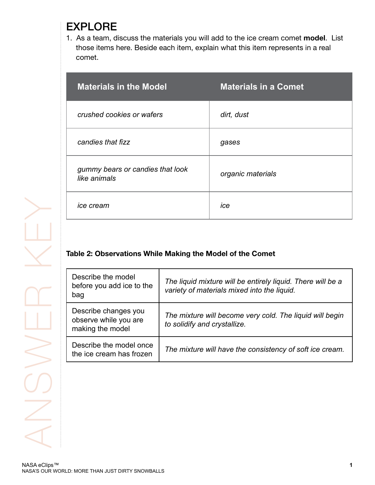## EXPLORE

1. As a team, discuss the materials you will add to the ice cream comet **model**. List those items here. Beside each item, explain what this item represents in a real comet.

| <b>Materials in the Model</b>                    | <b>Materials in a Comet</b> |
|--------------------------------------------------|-----------------------------|
| crushed cookies or wafers                        | dirt, dust                  |
| candies that fizz                                | gases                       |
| gummy bears or candies that look<br>like animals | organic materials           |
| <i>ice cream</i>                                 | ice                         |

### **Table 2: Observations While Making the Model of the Comet**

| Describe the model<br>before you add ice to the<br>bag            | The liquid mixture will be entirely liquid. There will be a<br>variety of materials mixed into the liquid. |
|-------------------------------------------------------------------|------------------------------------------------------------------------------------------------------------|
| Describe changes you<br>observe while you are<br>making the model | The mixture will become very cold. The liquid will begin<br>to solidify and crystallize.                   |
| Describe the model once<br>the ice cream has frozen               | The mixture will have the consistency of soft ice cream.                                                   |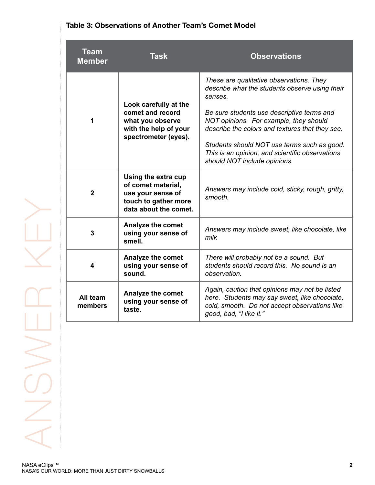| Table 3: Observations of Another Team's Comet Model |  |
|-----------------------------------------------------|--|
|-----------------------------------------------------|--|

| <b>Team</b><br><b>Member</b> | <b>Task</b>                                                                                                     | <b>Observations</b>                                                                                                                                                                                                                                                                                                                                                                |
|------------------------------|-----------------------------------------------------------------------------------------------------------------|------------------------------------------------------------------------------------------------------------------------------------------------------------------------------------------------------------------------------------------------------------------------------------------------------------------------------------------------------------------------------------|
| 1                            | Look carefully at the<br>comet and record<br>what you observe<br>with the help of your<br>spectrometer (eyes).  | These are qualitative observations. They<br>describe what the students observe using their<br>senses.<br>Be sure students use descriptive terms and<br>NOT opinions. For example, they should<br>describe the colors and textures that they see.<br>Students should NOT use terms such as good.<br>This is an opinion, and scientific observations<br>should NOT include opinions. |
| $\overline{2}$               | Using the extra cup<br>of comet material,<br>use your sense of<br>touch to gather more<br>data about the comet. | Answers may include cold, sticky, rough, gritty,<br>smooth.                                                                                                                                                                                                                                                                                                                        |
| $\overline{\mathbf{3}}$      | Analyze the comet<br>using your sense of<br>smell.                                                              | Answers may include sweet, like chocolate, like<br>milk                                                                                                                                                                                                                                                                                                                            |
| 4                            | Analyze the comet<br>using your sense of<br>sound.                                                              | There will probably not be a sound. But<br>students should record this. No sound is an<br>observation.                                                                                                                                                                                                                                                                             |
| All team<br>members          | Analyze the comet<br>using your sense of<br>taste.                                                              | Again, caution that opinions may not be listed<br>here. Students may say sweet, like chocolate,<br>cold, smooth. Do not accept observations like<br>good, bad, "I like it."                                                                                                                                                                                                        |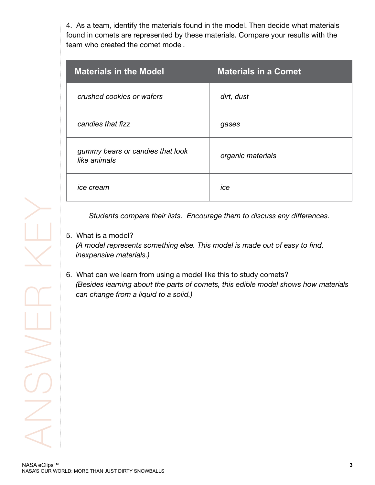4. As a team, identify the materials found in the model. Then decide what materials found in comets are represented by these materials. Compare your results with the team who created the comet model.

| <b>Materials in the Model</b>                    | <b>Materials in a Comet</b> |
|--------------------------------------------------|-----------------------------|
| crushed cookies or wafers                        | dirt, dust                  |
| candies that fizz                                | gases                       |
| gummy bears or candies that look<br>like animals | organic materials           |
| ice cream                                        | ice                         |

*Students compare their lists. Encourage them to discuss any differences.*

#### 5. What is a model?

*(A model represents something else. This model is made out of easy to find, inexpensive materials.)*

6. What can we learn from using a model like this to study comets? *(Besides learning about the parts of comets, this edible model shows how materials can change from a liquid to a solid.)*